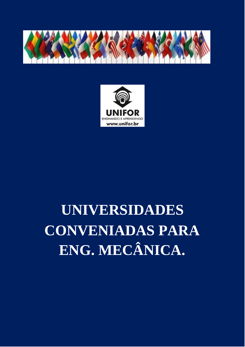



# **UNIVERSIDADES CONVENIADAS PARA ENG. MECÂNICA.**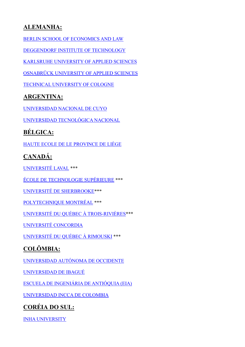## **ALEMANHA:**

[BERLIN SCHOOL OF ECONOMICS AND LAW](https://www.hwr-berlin.de/en/study/degree-programmes/detail/62-maschinenbau-konstruktion-und-fertigung/)

[DEGGENDORF INSTITUTE OF TECHNOLOGY](https://www.th-deg.de/en/mb-mk-en/courses/mb-b-en)

KARLSRUHE [UNIVERSITY OF APPLIED SCIENCES](https://www.hs-karlsruhe.de/en/faculties/mechanical-engineering-mechatronics/bachelor/)

[OSNABRÜCK UNIVERSITY OF APPLIED SCIENCES](https://www.hs-osnabrueck.de/en/study/study-offerings/bachelor/mechanical-engineering-bsc/)

TECHNICAL UNIVERSITY OF COLOGNE

#### **ARGENTINA:**

[UNIVERSIDAD NACIONAL DE CUYO](http://www.uncuyo.edu.ar/estudios/carrera/ingenieria-mecanica_2435)

[UNIVERSIDAD TECNOLÓGICA NACIONAL](https://www.utn.edu.ar/es/estudiar-utn?tipo_busqueda=carreras&id_tipos_carreras=1)

## **BÉLGICA:**

[HAUTE](https://www.provincedeliege.be/art183) [ECOLE](https://www.provincedeliege.be/art183) [DE](https://www.provincedeliege.be/art183) [LE](https://www.provincedeliege.be/art183) [PROVINCE](https://www.provincedeliege.be/art183) [DE](https://www.provincedeliege.be/art183) [LIÈGE](https://www.provincedeliege.be/art183)

# **CANADÁ:**

[UNIVERSITÉ LAVAL](https://www.ulaval.ca/les-etudes/programmes/repertoire/details/baccalaureat-en-genie-mecanique-b-ing.html) \*\*\*

[ÉCOLE DE TECHNOLOGIE](https://www.etsmtl.ca/Etudes/Premier-cycle/Baccalaureat-genie-mecanique) SUPÉRIEURE \*\*\*

[UNIVERSITÉ DE SHERBROOKE\\*](https://www.usherbrooke.ca/admission/programme/215/baccalaureat-en-genie-mecanique/)\*\*

[POLYTECHNIQUE MONTRÉAL](https://www.polymtl.ca/etudes/programmes/bc-electrique) \*\*\*

[UNIVERSITÉ DU QUÉBEC À TROIS-RIVIÈRES\\*](https://oraprdnt.uqtr.uquebec.ca/pls/apex/f?p=106:10::::10:P10_CD_PGM,P10_RECH_CRITERE,P10_RECH_VALEUR,P10_RECH_DESC:7947,P2_CD_NIVEAU,BACC,/Baccalauréats%20et%20doctorats%20de%20premier%20cycle/)\*\*

[UNIVERSITÉ CONCORDIA](http://www.concordia.ca/academics/graduate/mechanical-engineering-certificate.html)

[UNIVERSITÉ DU QUÉBEC À RIMOUSKI](https://www.uqar.ca/etudes/etudier-a-l-uqar/programmes-d-etudes/79t4) \*\*\*

## **COLÔMBIA:**

[UNIVERSIDAD](https://sitios.uao.edu.co/admisiones/ingenieria-electrica/?q=ingenieria/ingenieria-electrica) [AUTÓNOMA](https://sitios.uao.edu.co/admisiones/ingenieria-electrica/?q=ingenieria/ingenieria-electrica) [DE](https://sitios.uao.edu.co/admisiones/ingenieria-electrica/?q=ingenieria/ingenieria-electrica) [OCCIDENTE](https://sitios.uao.edu.co/admisiones/ingenieria-electrica/?q=ingenieria/ingenieria-electrica)

[UNIVERSIDAD DE IBAGUÉ](https://electronica.unibague.edu.co/)

[ESCUELA DE INGENIÁRIA DE ANTIÓQUIA \(EIA\)](https://www.eia.edu.co/pregrados/escuela-de-ingenieria/ingenieria-mecanica)

[UNIVERSIDAD INCCA DE COLOMBIA](https://www.unincca.edu.co/index.php?option=com_content&view=article&id=850&Itemid=233)

## **CORÉIA DO SUL:**

[INHA UNIVERSITY](http://www.inha.ac.kr/cop/search/introList.do?siteId=eng&deptCode=0194&majorCodeH=002&majorCodeS=0001&codeS=0183&id=eng_030102010000)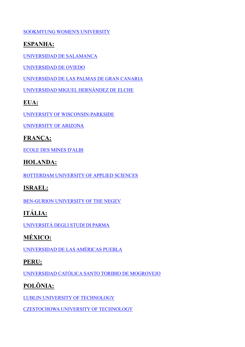[SOOKMYUNG WOMEN'S UNIVERSITY](http://e.sookmyung.ac.kr/sookmyungen/1440/subview.do)

#### **ESPANHA:**

[UNIVERSIDAD DE SALAMANCA](https://www.usal.es/grado-en-ingenieria-mecanica-eps-de-zamora)

[UNIVERSIDAD DE OVIEDO](http://www.uniovi.es/estudios/guias/grados/-/asset_publisher/bePFpf8XkIxB/content/grado-en-ingenieria-mecanica-2014?redirect=%2Festudios%2Fguias%2Fgrados)

[UNIVERSIDAD DE LAS PALMAS DE GRAN CANARIA](https://www2.ulpgc.es/index.php?pagina=plan_estudio&ver=wpe002&codTitulacion=4042&tipotitulacion=G)

[UNIVERSIDAD MIGUEL HERNÁNDEZ DE ELCHE](https://www.umh.es/contenido/Estudios/:tit_g_143_S1/datos_es.html)

#### **EUA:**

[UNIVERSITY OF WISCONSIN-PARKSIDE](https://www.uwp.edu/learn/programs/engineering.cfm)

[UNIVERSITY OF ARIZONA](http://engineering.arizona.edu/majors/mechanical)

#### **FRANÇA:**

[ECOLE DES MINES D'ALBI](https://www.imt-mines-albi.fr/fr/ingenieur-generaliste)

#### **HOLANDA:**

[ROTTERDAM UNIVERSITY OF APPLIED SCIENCES](https://www.rotterdamuas.com/programmes/exchange/)

#### **ISRAEL:**

[BEN-GURION UNIVERSITY OF THE NEGEV](http://in.bgu.ac.il/en/engn/me/Pages/default.aspx)

# **ITÁLIA:**

[UNIVERSITÀ DEGLI STUDI DI PARMA](https://en.unipr.it/ugov/degree/5028)

# **MÉXICO:**

[UNIVERSIDAD DE LAS AMÉRICAS PUEBLA](https://www.udlap.mx/web/)

#### **PERU:**

[UNIVERSIDAD CATÓLICA SANTO TORIBIO DE MOGROVEJO](http://www.usat.edu.pe/facultad-de-ingenieria/ingenieria-mecanica-electrica/)

# **POLÔNIA:**

[LUBLIN UNIVERSITY OF TECHNOLOGY](http://en.pollub.pl/)

[CZESTOCHOWA UNIVERSITY OF TECHNOLOGY](https://wimii.pcz.pl/en)